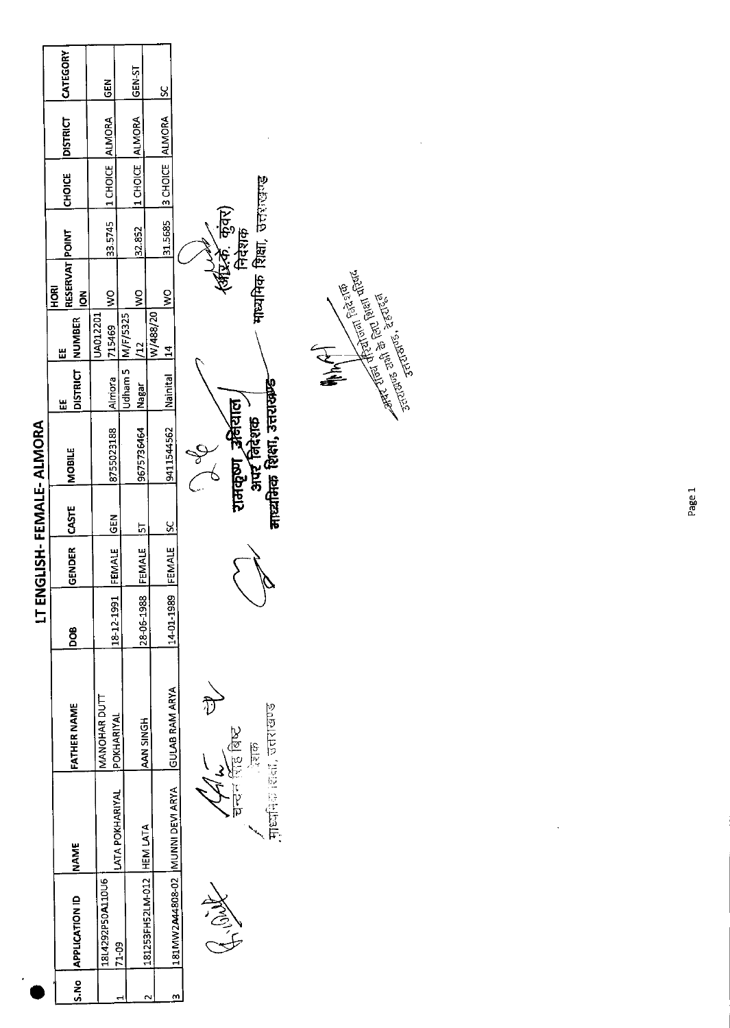|                             |                                  |                                              |            |               |               | LT ENGLISH-FEMALE-ALMORA                    |                       |                           |                                                |                            |                           |                 |             |
|-----------------------------|----------------------------------|----------------------------------------------|------------|---------------|---------------|---------------------------------------------|-----------------------|---------------------------|------------------------------------------------|----------------------------|---------------------------|-----------------|-------------|
| S.No APPLICATION ID         | <b>NAME</b>                      | <b>FATHER NAME</b>                           | DOB        | GENDER        | <b>CASTE</b>  | <b>MOBILE</b>                               | DISTRICT INUMBER<br>쀼 | Ш                         | RESERVAT POINT<br><b>ROH</b><br>$\overline{6}$ |                            | <b>CHOICE</b>             | <b>DISTRICT</b> | CATEGORY    |
| 18L4292P50A110U6            | LATA POKHARIYAL                  | MANOHAR DUTI<br>POKHARIYAL                   | 18-12-1991 | FEMALE        | <b>ISS</b>    | 8755023188                                  | <b>Almora</b>         | <b>UA012201</b><br>715469 | $\frac{8}{2}$                                  |                            | 33.5745  1 CHOICE  ALMORA |                 | $rac{6}{6}$ |
| 71.09                       |                                  |                                              |            |               |               |                                             | Jdham 5               | M/F/5325                  | $rac{1}{2}$                                    | 32.852                     | 1 CHOICE ALMORA           |                 | GEN-ST      |
| 181253FH52LM-012   HEM LATA |                                  | AAN SINGH                                    | 28-06-1988 | FEMALE        | 5             | 9675736464                                  | Nagar                 | $\overline{12}$           |                                                |                            |                           |                 |             |
|                             | 181MW2A44808-02 MUUNNI DEVI ARYA | <b>GULAB RAM ARYA</b>                        | 14-01-1989 | <b>FEMALE</b> | $\frac{5}{5}$ | 9411544562                                  | Nainital              | W/488/20<br>$\frac{4}{1}$ | $\frac{8}{3}$                                  |                            | 31.5685 3 CHOICE ALMORA   |                 | <u>ي</u>    |
| ASI SE                      |                                  | चन्दन सिंह बिष्ट<br>$\frac{1}{2}$            |            |               |               | ग़मकूण अनंयाल                               |                       |                           |                                                | (अष्ट्रक) कुंवर)<br>निदेशक |                           |                 |             |
|                             |                                  | गृध्यनिक शिक्षा, उत्तराखण्ड<br>$\frac{3}{2}$ |            |               |               | माध्यनिक शिक्षा, उत्तराक्रष्ट<br>अपर निदेशक |                       |                           | माध्यमिक शिक्षा, उत्तराज्यस्                   |                            |                           |                 |             |

**RECEPTION OF PRIVATE**<br>RECEPTION OF PRIVATE OF PRIVATE OF PRIVATE OF PRIVATE OF PRIVATE OF PRIVATE OF PRIVATE OF PRIVATE OF PRIVATE OF PRIVATE OF PRIVATE OF PRIVATE OF PRIVATE OF PRIVATE OF PRIVATE OF PRIVATE OF PRIVATE OF E<br>F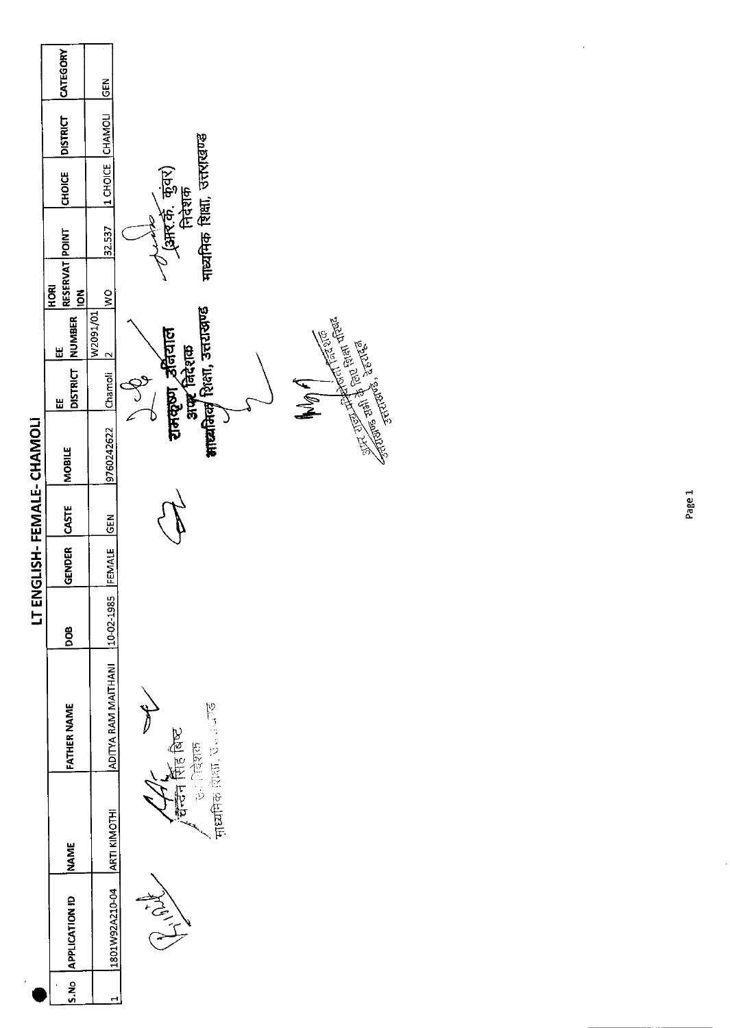|                                  | <b>CATEGORY</b>                         | <b>IGEN</b>                    |                                                                  |
|----------------------------------|-----------------------------------------|--------------------------------|------------------------------------------------------------------|
|                                  | <b>DISTRICT</b>                         | 11 CHOICE CHAMOLI              |                                                                  |
|                                  | <b>CHOICE</b>                           |                                | माध्यमिक शिक्षा, उत्तराखण्ड<br>(आर.की. कुंवर)<br>निदेशक          |
|                                  |                                         | 32.537                         |                                                                  |
|                                  | RESERVAT POINT<br>HORI<br>$\frac{2}{5}$ | $\frac{8}{2}$                  |                                                                  |
|                                  | DISTRICT NUMBER<br>出                    | W2091/01                       |                                                                  |
|                                  | Ш                                       | Chamoli 2                      | अन्द्र निरेशक<br>भार्यनिक् शिला, उत्तराखण्ड<br>रामकृष्ण , उतियाल |
| <b>LT ENGLISH-FEMALE-CHAMOLI</b> | <b>MOBILE</b>                           | 9760242622                     |                                                                  |
|                                  | <b>CASTE</b>                            | <b>GEN</b>                     |                                                                  |
|                                  | <b>GENDER</b>                           | FEMALE                         |                                                                  |
|                                  | 80a                                     |                                |                                                                  |
|                                  | <b>FATHER NAME</b>                      | ADITYA RAM MAITHANI 10-02-1985 | 可以 医血管 医血管                                                       |
|                                  | <b>NAME</b>                             |                                | 台上,不像<br><b>PERIOR</b>                                           |
|                                  | S.No APPLICATION ID                     | 1801W92A210-04   ARTI KIMOTHI  | NEW YORK                                                         |
|                                  |                                         |                                |                                                                  |

**My Contract of Contract of the Property and Taxable Property and Taxable Property and Taxable Property and Taxable Property and Taxable Property and Taxable Property and Taxable Property and Taxable Property and Taxable P** 

4

 $\bar{\beta}$ 

 $\hat{\mathcal{A}}$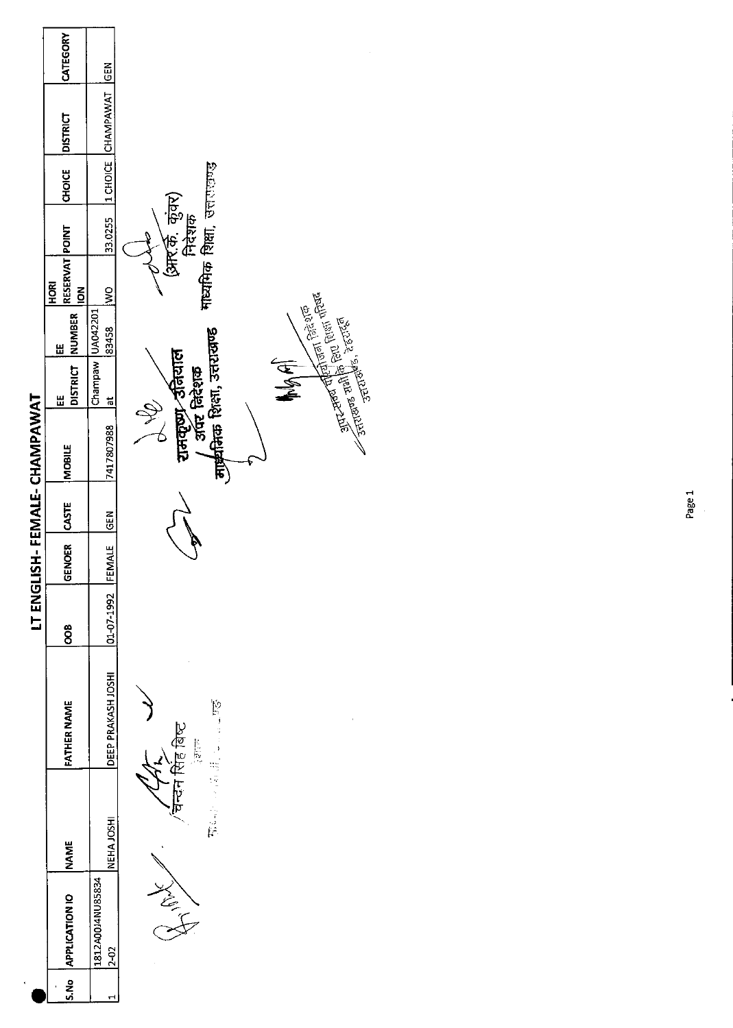|                             | CATEGORY                               | <b>IGEN</b>                       |                                                                                                                                                                   |
|-----------------------------|----------------------------------------|-----------------------------------|-------------------------------------------------------------------------------------------------------------------------------------------------------------------|
|                             | <b>DISTRICT</b>                        | 1 CHOICE CHAMPAWAT                |                                                                                                                                                                   |
|                             | CHOICE                                 |                                   |                                                                                                                                                                   |
|                             |                                        | 33.0255                           | (आर.के. कुंवर)<br>निदेशक<br>माध्यमिक शिक्षा, उत्तराज्यद                                                                                                           |
|                             | RESERVAT POINT<br>HORI<br>$\mathsf{S}$ | $\frac{8}{2}$                     |                                                                                                                                                                   |
|                             | NUMBER<br>Ш                            | 83458                             |                                                                                                                                                                   |
|                             | <b>DISTRICT</b><br>쁘                   | Champaw UA042201<br>$\frac{1}{6}$ | <b>ANGEL</b>                                                                                                                                                      |
| LT ENGLISH-FEMALE-CHAMPAWAT | <b>MOBILE</b>                          | 7417807988                        | Surveyor (Figure 1991)<br>Surveyor Hundrey (Figure 1995)<br>Surveyor Jungki, Zerzick<br>्रामवृष्ण उतियाल<br>  अपर निदेशक<br>मार्चनिक शिक्षा, उत्तरासण्ड<br>Q<br>L |
|                             | <b>LCASTE</b>                          | GEN                               |                                                                                                                                                                   |
|                             | GENOER                                 | FEMALE                            |                                                                                                                                                                   |
|                             | $\frac{80}{2}$                         | 01-07-1992                        |                                                                                                                                                                   |
|                             | FATHER NAME                            | DEEP PRAKASH JOSHI                | ゆごう エー・コー<br>चन्दन सिंह बिष्ट<br>$-215$                                                                                                                           |
|                             | <b>NAME</b>                            | NEHA JOSHI                        | 馬座 心理棒                                                                                                                                                            |
|                             | <b>APPLICATION IO</b>                  | 1812A00J4NU85834<br>2-02          | そんて                                                                                                                                                               |
|                             | S.No                                   |                                   |                                                                                                                                                                   |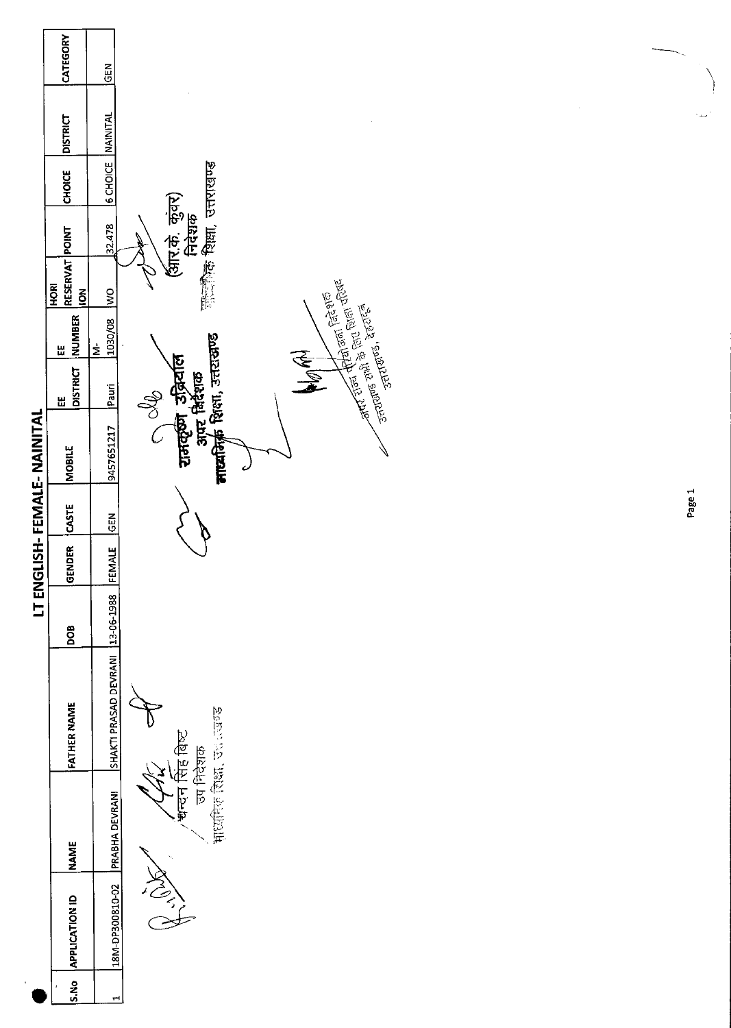|                             | CATEGORY                                   | GEN                       |                                                                                                  |        |
|-----------------------------|--------------------------------------------|---------------------------|--------------------------------------------------------------------------------------------------|--------|
|                             | <b>DISTRICT</b>                            |                           |                                                                                                  | بمدا   |
|                             | <b>CHOICE</b>                              | <b>6 CHOICE NAINITAL</b>  |                                                                                                  |        |
|                             |                                            | 32.478                    | साइकिक शिक्षा, उत्तराखण्ड<br>(आर.के. कुंवर)<br>निदेशक                                            |        |
|                             | RESERVAT POINT<br>HORI<br>$\sum_{i=1}^{n}$ | $\frac{1}{2}$             |                                                                                                  |        |
|                             | NUMBER<br>$\mathbf{H}$                     | 1030/08<br>$\dot{\Sigma}$ | <b>And First Print</b> Grapes (1976)<br>And First Print Grapes (1976)<br><b>. Andrea</b> Recited |        |
|                             | <b>DISTRICT</b><br>띲                       | Pauri                     | MOR<br>S                                                                                         |        |
| LT ENGLISH- FEMALE- NAI IAL | MOBILE                                     | 9457651217                | े अंदर विदेशक<br><b>माध्यमिक्री</b> शिक्षा, उत्तरासण्ड<br>रामकूण उद्भियति<br>$\mathcal C$        |        |
|                             | CASTE                                      | <b>GEN</b>                |                                                                                                  | Page 1 |
|                             | GENDER                                     | <b>FEMALE</b>             |                                                                                                  |        |
|                             | pos                                        | 13-06-1988                |                                                                                                  |        |
|                             | <b>FATHER NAME</b>                         | SHAKTI PRASAD DEVRANI     |                                                                                                  |        |
|                             | <b>NAME</b>                                | PRABHA DEVRANI            | Popular Section<br>चन्दन सिंह बिष्ट<br>उप निदेशक                                                 |        |
|                             | <b>APPLICATION ID</b>                      | 18M-DP300810-02           | RIVERS                                                                                           |        |
|                             | S.No                                       | H                         |                                                                                                  |        |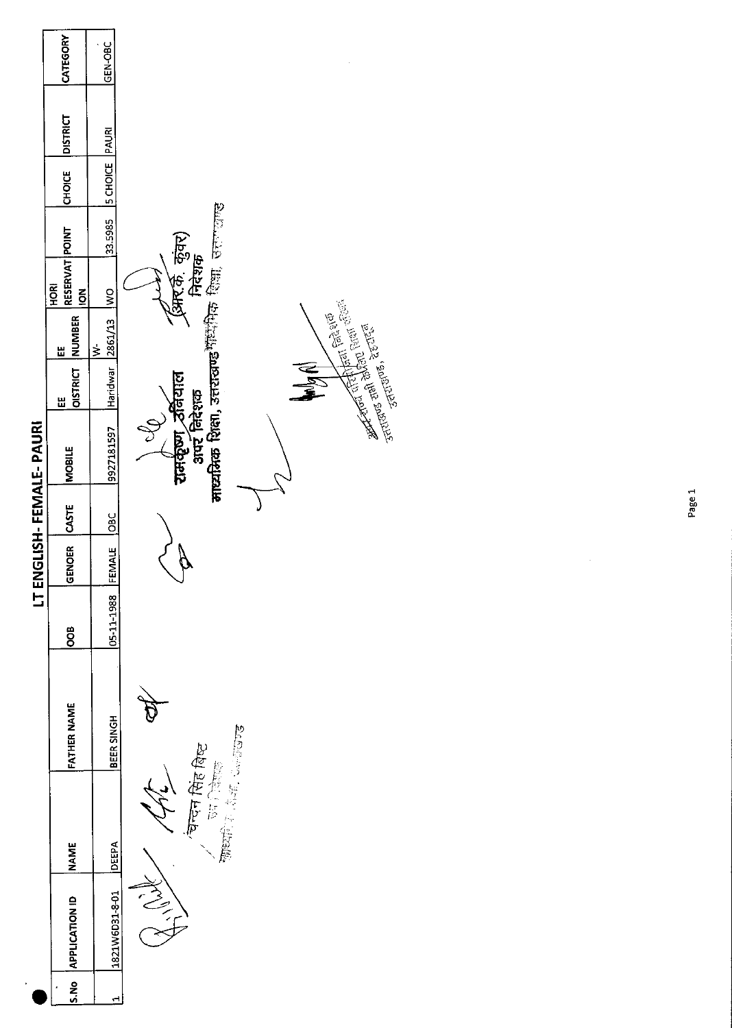|                         | CATEGORY                     | GEN-OBC              |                                                                                                                                                                                                                                                                                                                                                    |
|-------------------------|------------------------------|----------------------|----------------------------------------------------------------------------------------------------------------------------------------------------------------------------------------------------------------------------------------------------------------------------------------------------------------------------------------------------|
|                         |                              |                      |                                                                                                                                                                                                                                                                                                                                                    |
|                         | <b>DISTRICT</b>              |                      |                                                                                                                                                                                                                                                                                                                                                    |
|                         | <b>CHOICE</b>                | <b>SCHOICE</b> PAURI |                                                                                                                                                                                                                                                                                                                                                    |
|                         |                              | 33.5985              |                                                                                                                                                                                                                                                                                                                                                    |
| LT ENGLISH-FEMALE-PAURI | RESERVAT POINT<br><b>ROK</b> | $\frac{1}{2}$        | (आर.के. कुंवर)<br>निदेशक                                                                                                                                                                                                                                                                                                                           |
|                         | <b>NUMBER</b><br>씬           | 2861/13<br>$\geq$    |                                                                                                                                                                                                                                                                                                                                                    |
|                         | <b>OISTRICT</b><br>出         | Haridwar             |                                                                                                                                                                                                                                                                                                                                                    |
|                         | <b>MOBILE</b>                | 9927181597           | <mark>माध्यमिक शिक्षा, उत्तराखण्ड</mark> गौ <sup>द्य</sup> भिक शिक्षा, उत्तराखण्ड<br>and the first company of the state of the first of the state of the first of the state of the state of the state of the state of the state of the state of the state of the state of the state of the state of the state of th<br>रामकूण उनियाल<br>अपर निदेशक |
|                         | <b>CASTE</b>                 | <b>OBC</b>           |                                                                                                                                                                                                                                                                                                                                                    |
|                         | <b>ENOER</b><br>ō            | FEMALE               |                                                                                                                                                                                                                                                                                                                                                    |
|                         | <b>SOO</b>                   | 05-11-1988           |                                                                                                                                                                                                                                                                                                                                                    |
|                         | <b>FATHER NAME</b>           | BEER SINGH           | 2009年10日                                                                                                                                                                                                                                                                                                                                           |
|                         | INAME                        | DEEPA                | , चन्दन सिंह बिष्ट<br>ज्यानिक<br>合金原                                                                                                                                                                                                                                                                                                               |
|                         | S.No APPLICATION ID          | 1821W6D31-8-01       |                                                                                                                                                                                                                                                                                                                                                    |
| $\cdot$                 |                              | ↤                    |                                                                                                                                                                                                                                                                                                                                                    |

Page 1

 $\frac{1}{2}$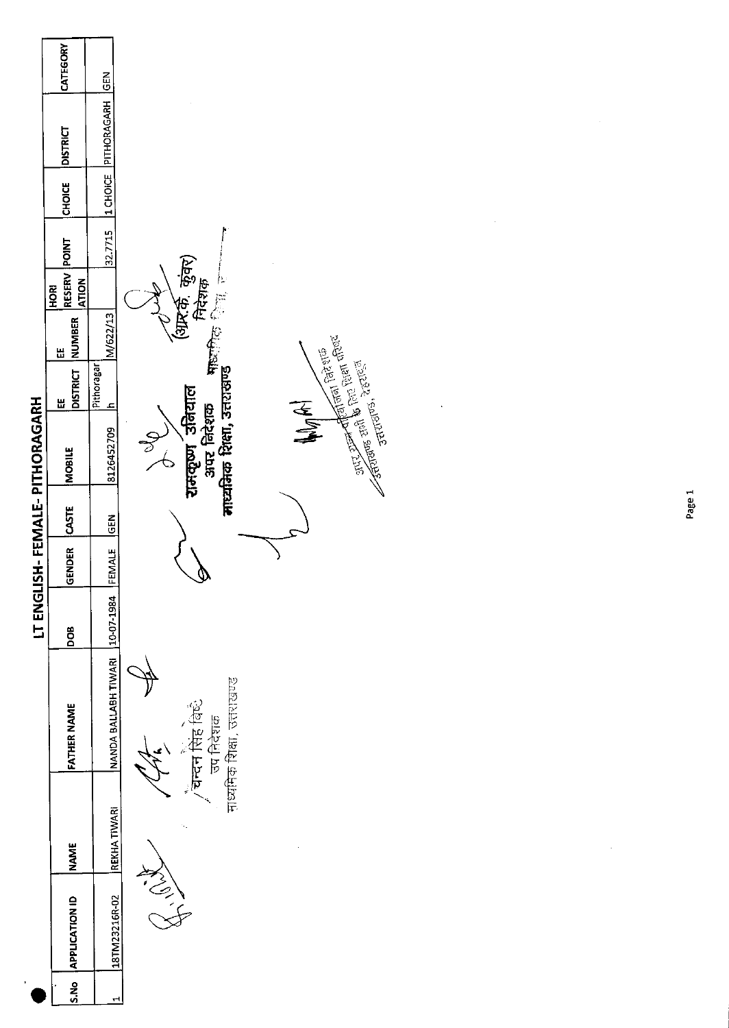

Page 1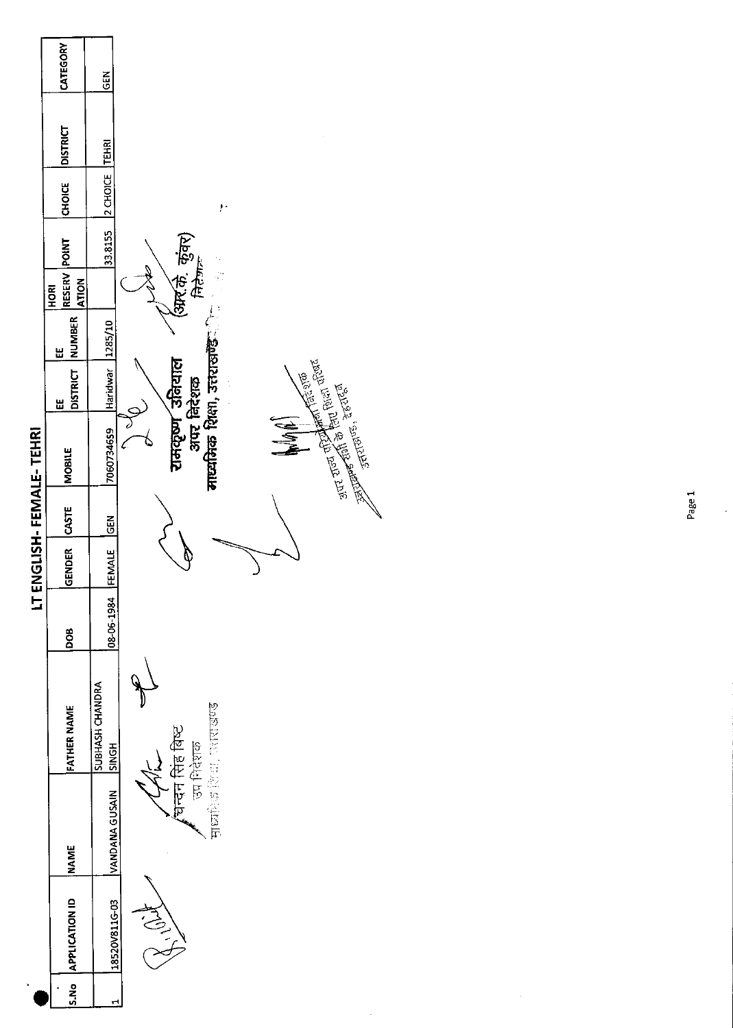

 $\hat{\boldsymbol{\gamma}}$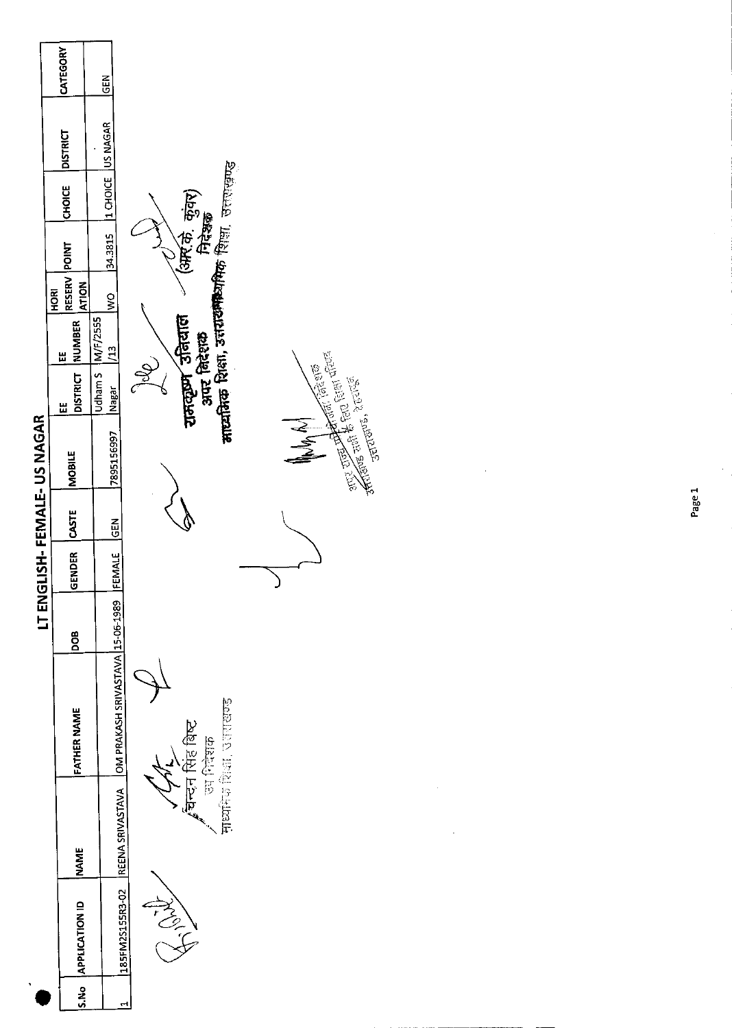

and the star for the control of the star of the star of the star of the star of the star of the star of the star of the star of the star of the star of the star of the star of the star of the star of the star of the star o

್ ಕಾರು<sup>ಗಳು ಸ್ಪೇರಗಳು</sup>

Page 1